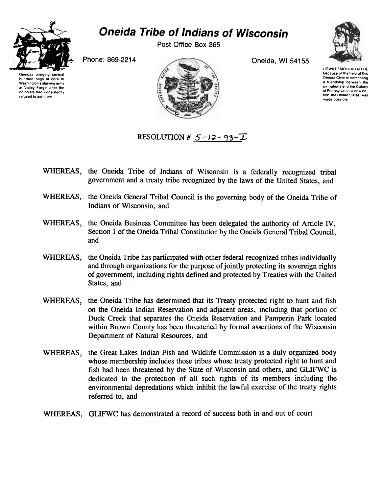

hundred bags 01 corn to Washington's starving army at Valley Forge, after the colonists had consistently refused to aid them

## Oneida Tribe of Indians of Wisconsin

Post Office Box 365

Phone: 869-2214 Oneida, WI 54155



UGWA DEMOLUM YATEHE Because of fhe help of this Oneida Chief In cementing a friendship between the six nations and the Colony of Pennsylvania. a new nation, the United States, was made possIble



RESOLUTION #  $5$ -13 - 93- $\overline{1}$ 

- WHEREAS, the Oneida Tribe of Indians of Wisconsin is a federally recognized tribal government and a treaty tribe recognized by the laws of the United States, and
- WHEREAS, the Oneida General Tribal Council is the governing body of the Oneida Tribe of Indians of Wisconsin, and
- WHEREAS, the Oneida Business Committee has been delegated the authority of Article IV, Section 1 of the Oneida Tribal Constitution by the Oneida General Tribal Council, and
- WHEREAS, the Oneida Tribe has participated with other federal recognized tribes individually and through organizations for the purpose of jointly protecting its sovereign rights of government, including rights defined and protected by Treaties with the United States, and
- WHEREAS, the Oneida Tribe has determined that its Treaty protected right to hunt and fish on the Oneida Indian Reservation and adjacent areas, including that portion of Duck Creek that separates the Oneida Reservation and Pamperin Park located within Brown County has been threatened by formal assertions of the Wisconsin Department of Natural Resources, and
- WHEREAS, the Great Lakes Indian Fish and Wildlife Commission is a duly organized body whose membership includes those tribes whose treaty protected right to hunt and fish had been threatened by the State of Wisconsin and others, and GLIFWC is dedicated to the protection of all such rights of its members including the environmental depredations which inhibit the lawful exercise of the treaty rights referred to, and
- WHEREAS, GLIFWC has demonstrated a record of success both in and out of court.